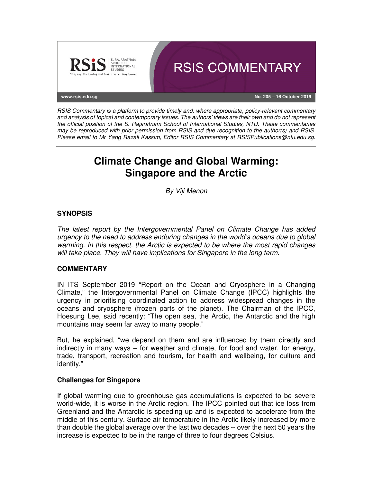

RSIS Commentary is a platform to provide timely and, where appropriate, policy-relevant commentary and analysis of topical and contemporary issues. The authors' views are their own and do not represent the official position of the S. Rajaratnam School of International Studies, NTU. These commentaries may be reproduced with prior permission from RSIS and due recognition to the author(s) and RSIS. Please email to Mr Yang Razali Kassim, Editor RSIS Commentary at RSISPublications@ntu.edu.sg.

# **Climate Change and Global Warming: Singapore and the Arctic**

By Viji Menon

## **SYNOPSIS**

The latest report by the Intergovernmental Panel on Climate Change has added urgency to the need to address enduring changes in the world's oceans due to global warming. In this respect, the Arctic is expected to be where the most rapid changes will take place. They will have implications for Singapore in the long term.

## **COMMENTARY**

IN ITS September 2019 "Report on the Ocean and Cryosphere in a Changing Climate," the Intergovernmental Panel on Climate Change (IPCC) highlights the urgency in prioritising coordinated action to address widespread changes in the oceans and cryosphere (frozen parts of the planet). The Chairman of the IPCC, Hoesung Lee, said recently: "The open sea, the Arctic, the Antarctic and the high mountains may seem far away to many people."

But, he explained, "we depend on them and are influenced by them directly and indirectly in many ways – for weather and climate, for food and water, for energy, trade, transport, recreation and tourism, for health and wellbeing, for culture and identity."

## **Challenges for Singapore**

If global warming due to greenhouse gas accumulations is expected to be severe world-wide, it is worse in the Arctic region. The IPCC pointed out that ice loss from Greenland and the Antarctic is speeding up and is expected to accelerate from the middle of this century. Surface air temperature in the Arctic likely increased by more than double the global average over the last two decades -- over the next 50 years the increase is expected to be in the range of three to four degrees Celsius.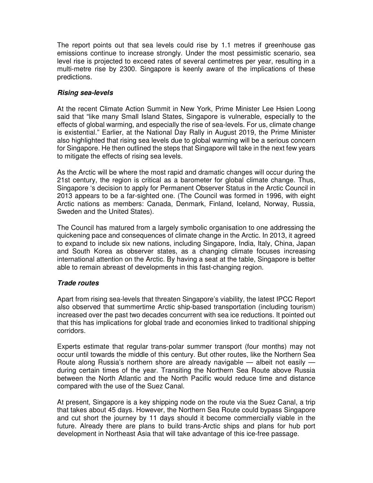The report points out that sea levels could rise by 1.1 metres if greenhouse gas emissions continue to increase strongly. Under the most pessimistic scenario, sea level rise is projected to exceed rates of several centimetres per year, resulting in a multi-metre rise by 2300. Singapore is keenly aware of the implications of these predictions.

## **Rising sea-levels**

At the recent Climate Action Summit in New York, Prime Minister Lee Hsien Loong said that "like many Small Island States, Singapore is vulnerable, especially to the effects of global warming, and especially the rise of sea-levels. For us, climate change is existential." Earlier, at the National Day Rally in August 2019, the Prime Minister also highlighted that rising sea levels due to global warming will be a serious concern for Singapore. He then outlined the steps that Singapore will take in the next few years to mitigate the effects of rising sea levels.

As the Arctic will be where the most rapid and dramatic changes will occur during the 21st century, the region is critical as a barometer for global climate change. Thus, Singapore 's decision to apply for Permanent Observer Status in the Arctic Council in 2013 appears to be a far-sighted one. (The Council was formed in 1996, with eight Arctic nations as members: Canada, Denmark, Finland, Iceland, Norway, Russia, Sweden and the United States).

The Council has matured from a largely symbolic organisation to one addressing the quickening pace and consequences of climate change in the Arctic. In 2013, it agreed to expand to include six new nations, including Singapore, India, Italy, China, Japan and South Korea as observer states, as a changing climate focuses increasing international attention on the Arctic. By having a seat at the table, Singapore is better able to remain abreast of developments in this fast-changing region.

## **Trade routes**

Apart from rising sea-levels that threaten Singapore's viability, the latest IPCC Report also observed that summertime Arctic ship-based transportation (including tourism) increased over the past two decades concurrent with sea ice reductions. It pointed out that this has implications for global trade and economies linked to traditional shipping corridors.

Experts estimate that regular trans-polar summer transport (four months) may not occur until towards the middle of this century. But other routes, like the Northern Sea Route along Russia's northern shore are already navigable — albeit not easily during certain times of the year. Transiting the Northern Sea Route above Russia between the North Atlantic and the North Pacific would reduce time and distance compared with the use of the Suez Canal.

At present, Singapore is a key shipping node on the route via the Suez Canal, a trip that takes about 45 days. However, the Northern Sea Route could bypass Singapore and cut short the journey by 11 days should it become commercially viable in the future. Already there are plans to build trans-Arctic ships and plans for hub port development in Northeast Asia that will take advantage of this ice-free passage.